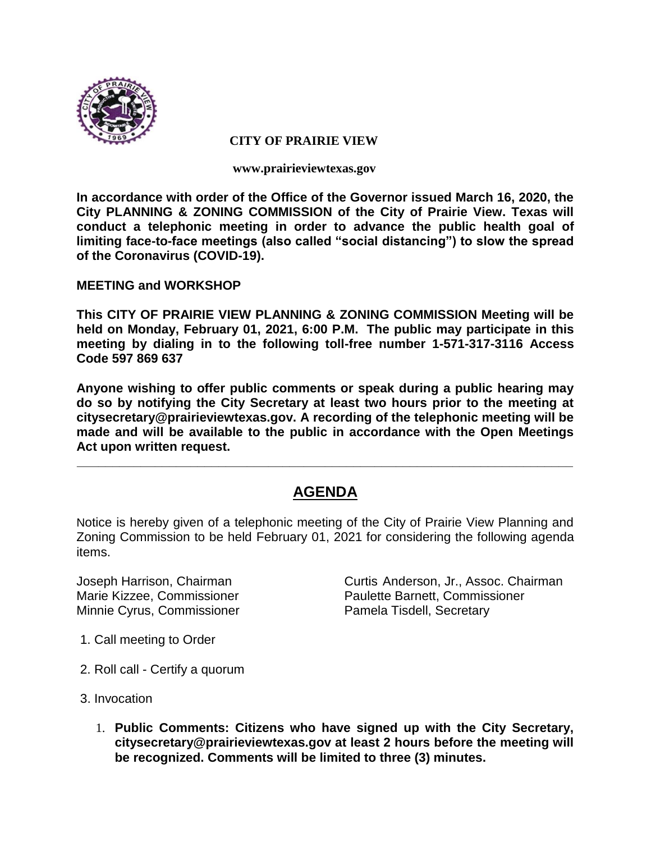

#### **CITY OF PRAIRIE VIEW**

**www.prairieviewtexas.gov**

**In accordance with order of the Office of the Governor issued March 16, 2020, the City PLANNING & ZONING COMMISSION of the City of Prairie View. Texas will conduct a telephonic meeting in order to advance the public health goal of limiting face-to-face meetings (also called "social distancing") to slow the spread of the Coronavirus (COVID-19).** 

**MEETING and WORKSHOP**

**This CITY OF PRAIRIE VIEW PLANNING & ZONING COMMISSION Meeting will be held on Monday, February 01, 2021, 6:00 P.M. The public may participate in this meeting by dialing in to the following toll-free number 1-571-317-3116 Access Code 597 869 637**

**Anyone wishing to offer public comments or speak during a public hearing may do so by notifying the City Secretary at least two hours prior to the meeting at citysecretary@prairieviewtexas.gov. A recording of the telephonic meeting will be made and will be available to the public in accordance with the Open Meetings Act upon written request.**

# **AGENDA**

**\_\_\_\_\_\_\_\_\_\_\_\_\_\_\_\_\_\_\_\_\_\_\_\_\_\_\_\_\_\_\_\_\_\_\_\_\_\_\_\_\_\_\_\_\_\_\_\_\_\_\_\_\_\_\_\_\_\_\_\_\_\_\_\_\_\_\_\_\_\_**

Notice is hereby given of a telephonic meeting of the City of Prairie View Planning and Zoning Commission to be held February 01, 2021 for considering the following agenda items.

Joseph Harrison, Chairman Curtis Anderson, Jr., Assoc. Chairman Minnie Cyrus, Commissioner **Pamela Tisdell, Secretary** 

Marie Kizzee, Commissioner Paulette Barnett, Commissioner

- 1. Call meeting to Order
- 2. Roll call Certify a quorum
- 3. Invocation
	- 1. **Public Comments: Citizens who have signed up with the City Secretary, citysecretary@prairieviewtexas.gov at least 2 hours before the meeting will be recognized. Comments will be limited to three (3) minutes.**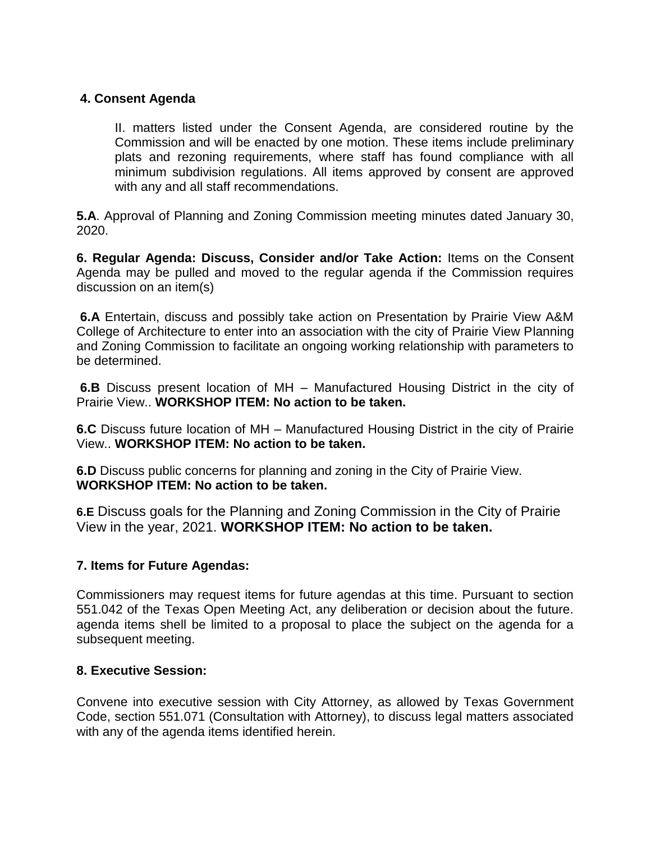### **4. Consent Agenda**

II. matters listed under the Consent Agenda, are considered routine by the Commission and will be enacted by one motion. These items include preliminary plats and rezoning requirements, where staff has found compliance with all minimum subdivision regulations. All items approved by consent are approved with any and all staff recommendations.

**5.A**. Approval of Planning and Zoning Commission meeting minutes dated January 30, 2020.

**6. Regular Agenda: Discuss, Consider and/or Take Action:** Items on the Consent Agenda may be pulled and moved to the regular agenda if the Commission requires discussion on an item(s)

**6.A** Entertain, discuss and possibly take action on Presentation by Prairie View A&M College of Architecture to enter into an association with the city of Prairie View Planning and Zoning Commission to facilitate an ongoing working relationship with parameters to be determined.

**6.B** Discuss present location of MH – Manufactured Housing District in the city of Prairie View.. **WORKSHOP ITEM: No action to be taken.**

**6.C** Discuss future location of MH – Manufactured Housing District in the city of Prairie View.. **WORKSHOP ITEM: No action to be taken.**

**6.D** Discuss public concerns for planning and zoning in the City of Prairie View. **WORKSHOP ITEM: No action to be taken.**

**6.E** Discuss goals for the Planning and Zoning Commission in the City of Prairie View in the year, 2021. **WORKSHOP ITEM: No action to be taken.**

#### **7. Items for Future Agendas:**

Commissioners may request items for future agendas at this time. Pursuant to section 551.042 of the Texas Open Meeting Act, any deliberation or decision about the future. agenda items shell be limited to a proposal to place the subject on the agenda for a subsequent meeting.

#### **8. Executive Session:**

Convene into executive session with City Attorney, as allowed by Texas Government Code, section 551.071 (Consultation with Attorney), to discuss legal matters associated with any of the agenda items identified herein.